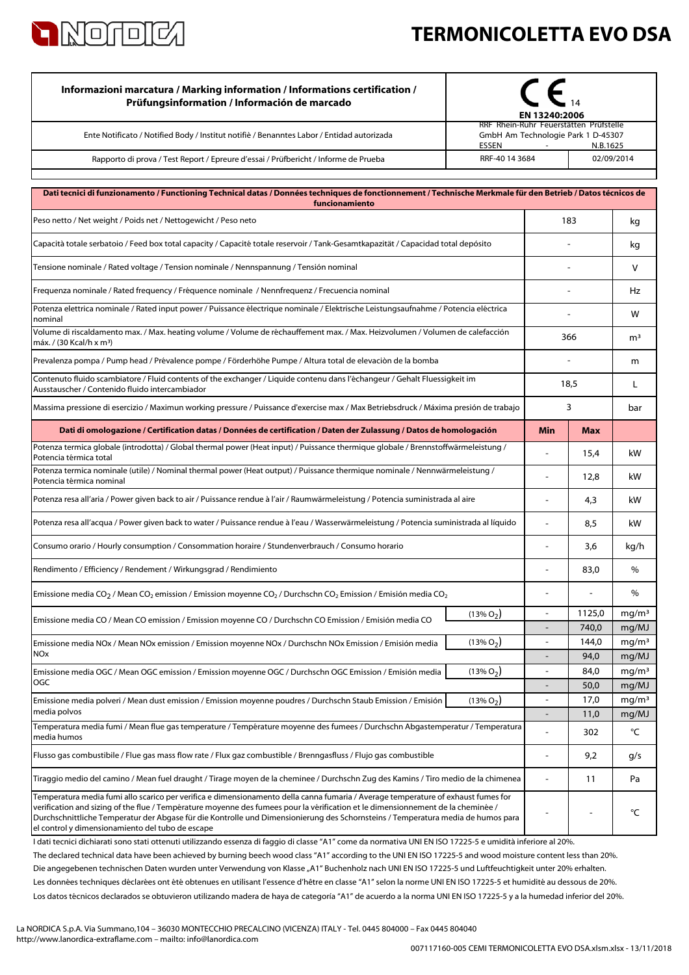

## **TERMONICOLETTA EVO DSA**

| Informazioni marcatura / Marking information / Informations certification /<br>Prüfungsinformation / Información de marcado                                                                                                                                                                                                                                                                                                                                   | EN 13240:2006 |                                                                                          |                |                            |
|---------------------------------------------------------------------------------------------------------------------------------------------------------------------------------------------------------------------------------------------------------------------------------------------------------------------------------------------------------------------------------------------------------------------------------------------------------------|---------------|------------------------------------------------------------------------------------------|----------------|----------------------------|
| Ente Notificato / Notified Body / Institut notifiè / Benanntes Labor / Entidad autorizada                                                                                                                                                                                                                                                                                                                                                                     | ESSEN         | RRF Rhein-Ruhr Feuerstätten Prüfstelle<br>GmbH Am Technologie Park 1 D-45307<br>N.B.1625 |                |                            |
| Rapporto di prova / Test Report / Epreure d'essai / Prüfbericht / Informe de Prueba                                                                                                                                                                                                                                                                                                                                                                           |               | RRF-40 14 3684<br>02/09/2014                                                             |                |                            |
| Dati tecnici di funzionamento / Functioning Technical datas / Données techniques de fonctionnement / Technische Merkmale für den Betrieb / Datos técnicos de                                                                                                                                                                                                                                                                                                  |               |                                                                                          |                |                            |
| funcionamiento                                                                                                                                                                                                                                                                                                                                                                                                                                                |               |                                                                                          |                |                            |
| Peso netto / Net weight / Poids net / Nettogewicht / Peso neto                                                                                                                                                                                                                                                                                                                                                                                                | 183           |                                                                                          | kg             |                            |
| Capacità totale serbatoio / Feed box total capacity / Capacité totale reservoir / Tank-Gesamtkapazität / Capacidad total depósito                                                                                                                                                                                                                                                                                                                             |               |                                                                                          |                | kg                         |
| Tensione nominale / Rated voltage / Tension nominale / Nennspannung / Tensión nominal                                                                                                                                                                                                                                                                                                                                                                         |               |                                                                                          |                | V                          |
| Frequenza nominale / Rated frequency / Fréquence nominale / Nennfrequenz / Frecuencia nominal                                                                                                                                                                                                                                                                                                                                                                 |               |                                                                                          |                | Hz                         |
| Potenza elettrica nominale / Rated input power / Puissance électrique nominale / Elektrische Leistungsaufnahme / Potencia eléctrica<br>nominal                                                                                                                                                                                                                                                                                                                |               |                                                                                          |                | W                          |
| Volume di riscaldamento max. / Max. heating volume / Volume de réchauffement max. / Max. Heizvolumen / Volumen de calefacción<br>máx. / (30 Kcal/h x m <sup>3</sup> )                                                                                                                                                                                                                                                                                         |               | 366                                                                                      |                | m <sup>3</sup>             |
| Prevalenza pompa / Pump head / Prévalence pompe / Förderhöhe Pumpe / Altura total de elevaciòn de la bomba                                                                                                                                                                                                                                                                                                                                                    |               |                                                                                          |                | m                          |
| Contenuto fluido scambiatore / Fluid contents of the exchanger / Liquide contenu dans l'échangeur / Gehalt Fluessigkeit im<br>Ausstauscher / Contenido fluido intercambiador                                                                                                                                                                                                                                                                                  |               | 18,5                                                                                     |                | L                          |
| Massima pressione di esercizio / Maximun working pressure / Puissance d'exercise max / Max Betriebsdruck / Máxima presión de trabajo                                                                                                                                                                                                                                                                                                                          |               |                                                                                          | 3              |                            |
| Dati di omologazione / Certification datas / Données de certification / Daten der Zulassung / Datos de homologación                                                                                                                                                                                                                                                                                                                                           |               | Min                                                                                      | <b>Max</b>     |                            |
| Potenza termica globale (introdotta) / Global thermal power (Heat input) / Puissance thermique globale / Brennstoffwärmeleistung /<br>Potencia térmica total                                                                                                                                                                                                                                                                                                  |               | ä,                                                                                       | 15,4           | kW                         |
| Potenza termica nominale (utile) / Nominal thermal power (Heat output) / Puissance thermique nominale / Nennwärmeleistung /<br>Potencia térmica nominal                                                                                                                                                                                                                                                                                                       |               |                                                                                          | 12,8           | kW                         |
| Potenza resa all'aria / Power given back to air / Puissance rendue à l'air / Raumwärmeleistung / Potencia suministrada al aire                                                                                                                                                                                                                                                                                                                                |               |                                                                                          | 4,3            | kW                         |
| Potenza resa all'acqua / Power given back to water / Puissance rendue à l'eau / Wasserwärmeleistung / Potencia suministrada al líquido                                                                                                                                                                                                                                                                                                                        |               | $\overline{a}$                                                                           | 8,5            | kW                         |
| Consumo orario / Hourly consumption / Consommation horaire / Stundenverbrauch / Consumo horario                                                                                                                                                                                                                                                                                                                                                               |               |                                                                                          | 3,6            | kg/h                       |
| Rendimento / Efficiency / Rendement / Wirkungsgrad / Rendimiento                                                                                                                                                                                                                                                                                                                                                                                              |               |                                                                                          | 83,0           | %                          |
| Emissione media CO <sub>2</sub> / Mean CO <sub>2</sub> emission / Emission moyenne CO <sub>2</sub> / Durchschn CO <sub>2</sub> Emission / Emisión media CO <sub>2</sub>                                                                                                                                                                                                                                                                                       |               |                                                                                          |                | $\%$                       |
| Emissione media CO / Mean CO emission / Emission moyenne CO / Durchschn CO Emission / Emisión media CO                                                                                                                                                                                                                                                                                                                                                        | $(13\% O_2)$  | $\blacksquare$                                                                           | 1125,0         | mg/m <sup>3</sup>          |
|                                                                                                                                                                                                                                                                                                                                                                                                                                                               | $(13\% O2)$   |                                                                                          | 740,0<br>144,0 | mg/MJ<br>mg/m <sup>3</sup> |
| Emissione media NOx / Mean NOx emission / Emission moyenne NOx / Durchschn NOx Emission / Emisión media<br><b>NO<sub>x</sub></b>                                                                                                                                                                                                                                                                                                                              |               |                                                                                          | 94,0           | mg/MJ                      |
| Emissione media OGC / Mean OGC emission / Emission moyenne OGC / Durchschn OGC Emission / Emisión media                                                                                                                                                                                                                                                                                                                                                       | $(13\% O_2)$  | $\blacksquare$                                                                           | 84,0           | mg/m <sup>3</sup>          |
| OGC                                                                                                                                                                                                                                                                                                                                                                                                                                                           |               |                                                                                          | 50,0           | mg/MJ                      |
| Emissione media polveri / Mean dust emission / Emission moyenne poudres / Durchschn Staub Emission / Emisión<br>media polvos                                                                                                                                                                                                                                                                                                                                  | $(13\% O_2)$  | $\overline{a}$                                                                           | 17,0           | mq/m <sup>3</sup>          |
| Temperatura media fumi / Mean flue gas temperature / Température moyenne des fumees / Durchschn Abgastemperatur / Temperatura                                                                                                                                                                                                                                                                                                                                 |               | $\overline{a}$                                                                           | 11,0<br>302    | mg/MJ<br>°C                |
| media humos<br>Flusso gas combustibile / Flue gas mass flow rate / Flux gaz combustible / Brenngasfluss / Flujo gas combustible                                                                                                                                                                                                                                                                                                                               |               |                                                                                          | 9,2            | g/s                        |
| Tiraggio medio del camino / Mean fuel draught / Tirage moyen de la cheminee / Durchschn Zug des Kamins / Tiro medio de la chimenea                                                                                                                                                                                                                                                                                                                            |               |                                                                                          | 11             | Pa                         |
| Temperatura media fumi allo scarico per verifica e dimensionamento della canna fumaria / Average temperature of exhaust fumes for<br>verification and sizing of the flue / Température moyenne des fumees pour la vérification et le dimensionnement de la cheminée /<br>Durchschnittliche Temperatur der Abgase für die Kontrolle und Dimensionierung des Schornsteins / Temperatura media de humos para<br>el control y dimensionamiento del tubo de escape |               |                                                                                          | ٠              | °C                         |

Los datos técnicos declarados se obtuvieron utilizando madera de haya de categoría "A1" de acuerdo a la norma UNI EN ISO 17225-5 y a la humedad inferior del 20%. Les données techniques déclarées ont été obtenues en utilisant l'essence d'hêtre en classe "A1" selon la norme UNI EN ISO 17225-5 et humidité au dessous de 20%. I dati tecnici dichiarati sono stati ottenuti utilizzando essenza di faggio di classe "A1" come da normativa UNI EN ISO 17225-5 e umidità inferiore al 20%. Die angegebenen technischen Daten wurden unter Verwendung von Klasse "A1" Buchenholz nach UNI EN ISO 17225-5 und Luftfeuchtigkeit unter 20% erhalten. The declared technical data have been achieved by burning beech wood class "A1" according to the UNI EN ISO 17225-5 and wood moisture content less than 20%.